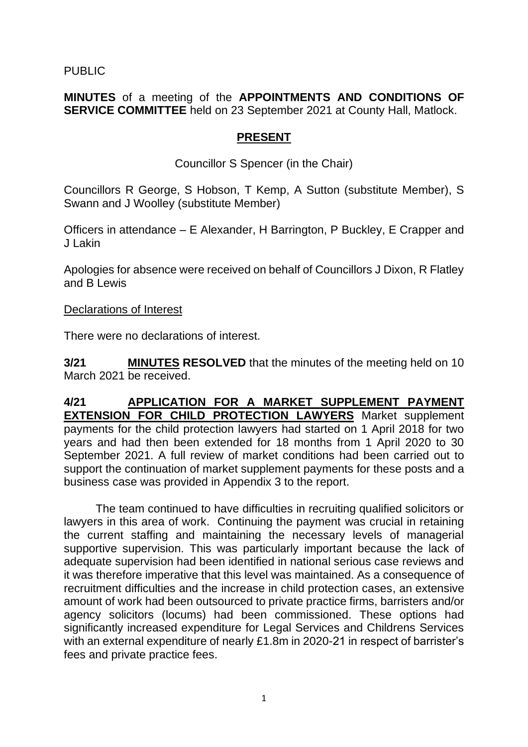PUBLIC

**MINUTES** of a meeting of the **APPOINTMENTS AND CONDITIONS OF SERVICE COMMITTEE** held on 23 September 2021 at County Hall, Matlock.

## **PRESENT**

Councillor S Spencer (in the Chair)

Councillors R George, S Hobson, T Kemp, A Sutton (substitute Member), S Swann and J Woolley (substitute Member)

Officers in attendance – E Alexander, H Barrington, P Buckley, E Crapper and J Lakin

Apologies for absence were received on behalf of Councillors J Dixon, R Flatley and B Lewis

Declarations of Interest

There were no declarations of interest.

**3/21 MINUTES RESOLVED** that the minutes of the meeting held on 10 March 2021 be received.

## **4/21 APPLICATION FOR A MARKET SUPPLEMENT PAYMENT EXTENSION FOR CHILD PROTECTION LAWYERS** Market supplement payments for the child protection lawyers had started on 1 April 2018 for two years and had then been extended for 18 months from 1 April 2020 to 30 September 2021. A full review of market conditions had been carried out to support the continuation of market supplement payments for these posts and a business case was provided in Appendix 3 to the report.

The team continued to have difficulties in recruiting qualified solicitors or lawyers in this area of work. Continuing the payment was crucial in retaining the current staffing and maintaining the necessary levels of managerial supportive supervision. This was particularly important because the lack of adequate supervision had been identified in national serious case reviews and it was therefore imperative that this level was maintained. As a consequence of recruitment difficulties and the increase in child protection cases, an extensive amount of work had been outsourced to private practice firms, barristers and/or agency solicitors (locums) had been commissioned. These options had significantly increased expenditure for Legal Services and Childrens Services with an external expenditure of nearly £1.8m in 2020-21 in respect of barrister's fees and private practice fees.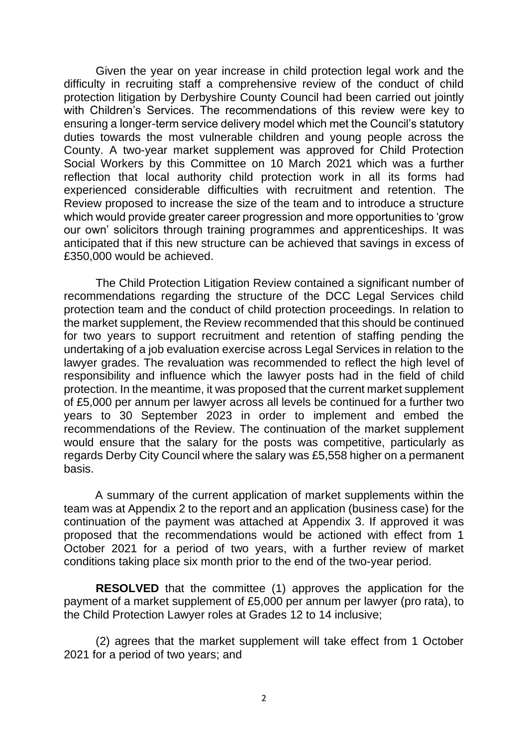Given the year on year increase in child protection legal work and the difficulty in recruiting staff a comprehensive review of the conduct of child protection litigation by Derbyshire County Council had been carried out jointly with Children's Services. The recommendations of this review were key to ensuring a longer-term service delivery model which met the Council's statutory duties towards the most vulnerable children and young people across the County. A two-year market supplement was approved for Child Protection Social Workers by this Committee on 10 March 2021 which was a further reflection that local authority child protection work in all its forms had experienced considerable difficulties with recruitment and retention. The Review proposed to increase the size of the team and to introduce a structure which would provide greater career progression and more opportunities to 'grow our own' solicitors through training programmes and apprenticeships. It was anticipated that if this new structure can be achieved that savings in excess of £350,000 would be achieved.

The Child Protection Litigation Review contained a significant number of recommendations regarding the structure of the DCC Legal Services child protection team and the conduct of child protection proceedings. In relation to the market supplement, the Review recommended that this should be continued for two years to support recruitment and retention of staffing pending the undertaking of a job evaluation exercise across Legal Services in relation to the lawyer grades. The revaluation was recommended to reflect the high level of responsibility and influence which the lawyer posts had in the field of child protection. In the meantime, it was proposed that the current market supplement of £5,000 per annum per lawyer across all levels be continued for a further two years to 30 September 2023 in order to implement and embed the recommendations of the Review. The continuation of the market supplement would ensure that the salary for the posts was competitive, particularly as regards Derby City Council where the salary was £5,558 higher on a permanent basis.

A summary of the current application of market supplements within the team was at Appendix 2 to the report and an application (business case) for the continuation of the payment was attached at Appendix 3. If approved it was proposed that the recommendations would be actioned with effect from 1 October 2021 for a period of two years, with a further review of market conditions taking place six month prior to the end of the two-year period.

**RESOLVED** that the committee (1) approves the application for the payment of a market supplement of £5,000 per annum per lawyer (pro rata), to the Child Protection Lawyer roles at Grades 12 to 14 inclusive;

(2) agrees that the market supplement will take effect from 1 October 2021 for a period of two years; and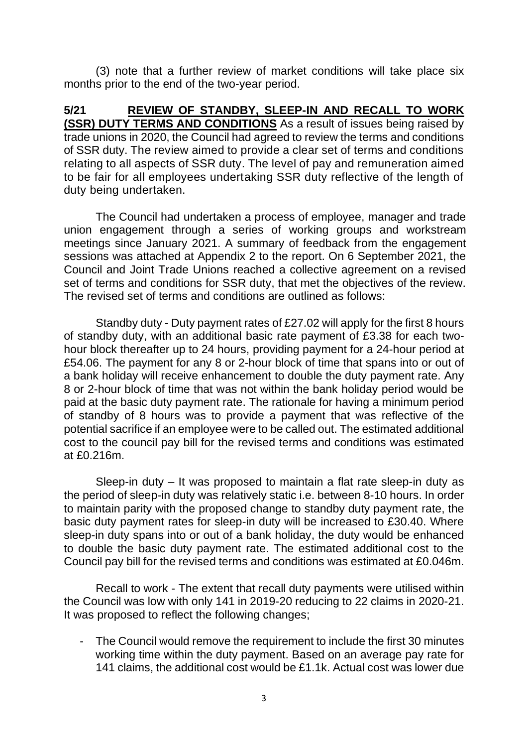(3) note that a further review of market conditions will take place six months prior to the end of the two-year period.

**5/21 REVIEW OF STANDBY, SLEEP-IN AND RECALL TO WORK (SSR) DUTY TERMS AND CONDITIONS** As a result of issues being raised by trade unions in 2020, the Council had agreed to review the terms and conditions of SSR duty. The review aimed to provide a clear set of terms and conditions relating to all aspects of SSR duty. The level of pay and remuneration aimed to be fair for all employees undertaking SSR duty reflective of the length of duty being undertaken.

The Council had undertaken a process of employee, manager and trade union engagement through a series of working groups and workstream meetings since January 2021. A summary of feedback from the engagement sessions was attached at Appendix 2 to the report. On 6 September 2021, the Council and Joint Trade Unions reached a collective agreement on a revised set of terms and conditions for SSR duty, that met the objectives of the review. The revised set of terms and conditions are outlined as follows:

Standby duty - Duty payment rates of £27.02 will apply for the first 8 hours of standby duty, with an additional basic rate payment of £3.38 for each twohour block thereafter up to 24 hours, providing payment for a 24-hour period at £54.06. The payment for any 8 or 2-hour block of time that spans into or out of a bank holiday will receive enhancement to double the duty payment rate. Any 8 or 2-hour block of time that was not within the bank holiday period would be paid at the basic duty payment rate. The rationale for having a minimum period of standby of 8 hours was to provide a payment that was reflective of the potential sacrifice if an employee were to be called out. The estimated additional cost to the council pay bill for the revised terms and conditions was estimated at £0.216m.

Sleep-in duty – It was proposed to maintain a flat rate sleep-in duty as the period of sleep-in duty was relatively static i.e. between 8-10 hours. In order to maintain parity with the proposed change to standby duty payment rate, the basic duty payment rates for sleep-in duty will be increased to £30.40. Where sleep-in duty spans into or out of a bank holiday, the duty would be enhanced to double the basic duty payment rate. The estimated additional cost to the Council pay bill for the revised terms and conditions was estimated at £0.046m.

Recall to work - The extent that recall duty payments were utilised within the Council was low with only 141 in 2019-20 reducing to 22 claims in 2020-21. It was proposed to reflect the following changes;

- The Council would remove the requirement to include the first 30 minutes working time within the duty payment. Based on an average pay rate for 141 claims, the additional cost would be £1.1k. Actual cost was lower due